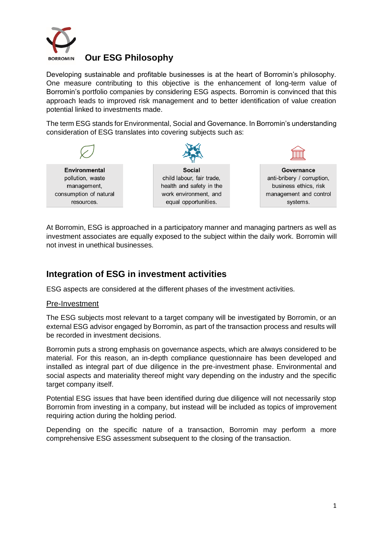

### **Our ESG Philosophy**

Developing sustainable and profitable businesses is at the heart of Borromin's philosophy. One measure contributing to this objective is the enhancement of long-term value of Borromin's portfolio companies by considering ESG aspects. Borromin is convinced that this approach leads to improved risk management and to better identification of value creation potential linked to investments made.

The term ESG stands for Environmental, Social and Governance. In Borromin's understanding consideration of ESG translates into covering subjects such as:



At Borromin, ESG is approached in a participatory manner and managing partners as well as investment associates are equally exposed to the subject within the daily work. Borromin will not invest in unethical businesses.

## **Integration of ESG in investment activities**

ESG aspects are considered at the different phases of the investment activities.

#### Pre-Investment

The ESG subjects most relevant to a target company will be investigated by Borromin, or an external ESG advisor engaged by Borromin, as part of the transaction process and results will be recorded in investment decisions.

Borromin puts a strong emphasis on governance aspects, which are always considered to be material. For this reason, an in-depth compliance questionnaire has been developed and installed as integral part of due diligence in the pre-investment phase. Environmental and social aspects and materiality thereof might vary depending on the industry and the specific target company itself.

Potential ESG issues that have been identified during due diligence will not necessarily stop Borromin from investing in a company, but instead will be included as topics of improvement requiring action during the holding period.

Depending on the specific nature of a transaction, Borromin may perform a more comprehensive ESG assessment subsequent to the closing of the transaction.